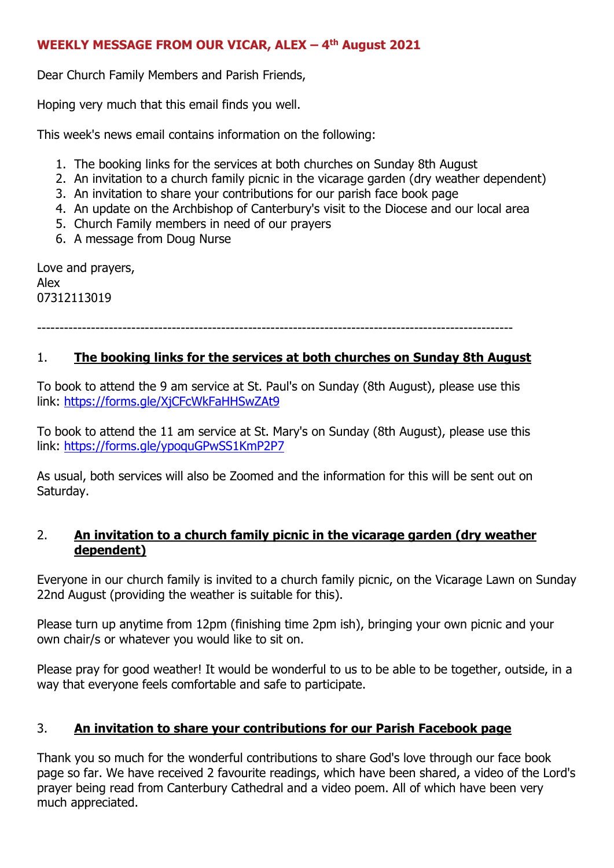### **WEEKLY MESSAGE FROM OUR VICAR, ALEX – 4 th August 2021**

Dear Church Family Members and Parish Friends,

Hoping very much that this email finds you well.

This week's news email contains information on the following:

- 1. The booking links for the services at both churches on Sunday 8th August
- 2. An invitation to a church family picnic in the vicarage garden (dry weather dependent)
- 3. An invitation to share your contributions for our parish face book page
- 4. An update on the Archbishop of Canterbury's visit to the Diocese and our local area
- 5. Church Family members in need of our prayers
- 6. A message from Doug Nurse

Love and prayers, Alex 07312113019

----------------------------------------------------------------------------------------------------------

#### 1. **The booking links for the services at both churches on Sunday 8th August**

To book to attend the 9 am service at St. Paul's on Sunday (8th August), please use this link: <https://forms.gle/XjCFcWkFaHHSwZAt9>

To book to attend the 11 am service at St. Mary's on Sunday (8th August), please use this link: <https://forms.gle/ypoquGPwSS1KmP2P7>

As usual, both services will also be Zoomed and the information for this will be sent out on Saturday.

#### 2. **An invitation to a church family picnic in the vicarage garden (dry weather dependent)**

Everyone in our church family is invited to a church family picnic, on the Vicarage Lawn on Sunday 22nd August (providing the weather is suitable for this).

Please turn up anytime from 12pm (finishing time 2pm ish), bringing your own picnic and your own chair/s or whatever you would like to sit on.

Please pray for good weather! It would be wonderful to us to be able to be together, outside, in a way that everyone feels comfortable and safe to participate.

## 3. **An invitation to share your contributions for our Parish Facebook page**

Thank you so much for the wonderful contributions to share God's love through our face book page so far. We have received 2 favourite readings, which have been shared, a video of the Lord's prayer being read from Canterbury Cathedral and a video poem. All of which have been very much appreciated.